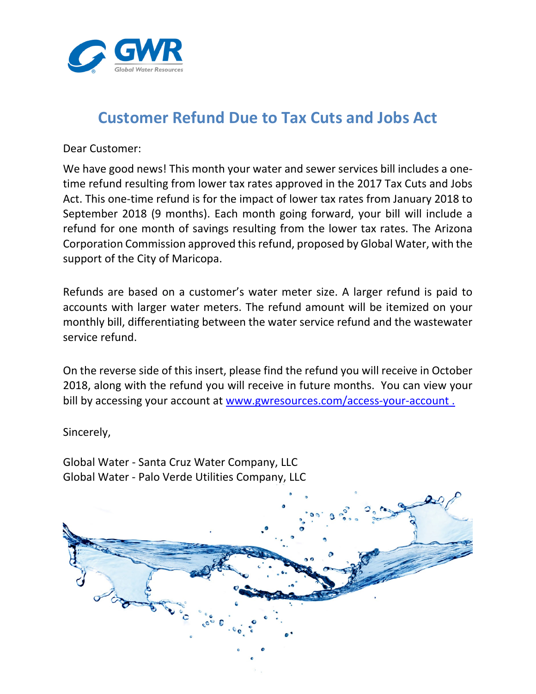

## **Customer Refund Due to Tax Cuts and Jobs Act**

Dear Customer:

We have good news! This month your water and sewer services bill includes a onetime refund resulting from lower tax rates approved in the 2017 Tax Cuts and Jobs Act. This one-time refund is for the impact of lower tax rates from January 2018 to September 2018 (9 months). Each month going forward, your bill will include a refund for one month of savings resulting from the lower tax rates. The Arizona Corporation Commission approved this refund, proposed by Global Water, with the support of the City of Maricopa.

Refunds are based on a customer's water meter size. A larger refund is paid to accounts with larger water meters. The refund amount will be itemized on your monthly bill, differentiating between the water service refund and the wastewater service refund.

On the reverse side of this insert, please find the refund you will receive in October 2018, along with the refund you will receive in future months. You can view your bill by accessing your account at www.gwresources.com/access-your-account.

Sincerely,

Global Water ‐ Santa Cruz Water Company, LLC Global Water ‐ Palo Verde Utilities Company, LLC